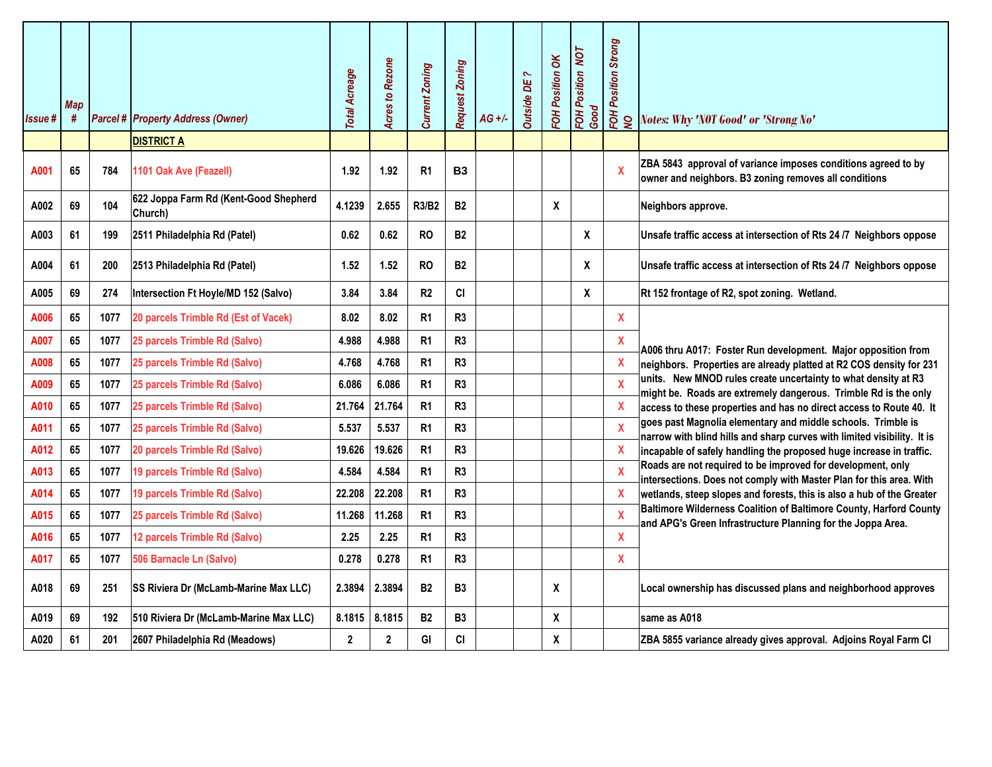|               |                 |      |                                                  |                      | <b>Acres to Rezone</b> | <b>Current Zoning</b> | Request Zoning |          |                    | FOH Position OK | FOH Position NOT<br>Good | <b>FOH Position Strong</b> |                                                                                                                                         |
|---------------|-----------------|------|--------------------------------------------------|----------------------|------------------------|-----------------------|----------------|----------|--------------------|-----------------|--------------------------|----------------------------|-----------------------------------------------------------------------------------------------------------------------------------------|
| <b>Issue#</b> | <b>Map</b><br># |      | <b>Parcel # Property Address (Owner)</b>         | <b>Total Acreage</b> |                        |                       |                | $AG +/-$ | <b>Outside DE?</b> |                 |                          | g                          | Notes: Why 'NOT Good' or 'Strong No'                                                                                                    |
|               |                 |      | <b>DISTRICT A</b>                                |                      |                        |                       |                |          |                    |                 |                          |                            |                                                                                                                                         |
| A001          | 65              | 784  | 1101 Oak Ave (Feazell)                           | 1.92                 | 1.92                   | R <sub>1</sub>        | <b>B3</b>      |          |                    |                 |                          |                            | ZBA 5843 approval of variance imposes conditions agreed to by<br>owner and neighbors. B3 zoning removes all conditions                  |
| A002          | 69              | 104  | 622 Joppa Farm Rd (Kent-Good Shepherd<br>Church) | 4.1239               | 2.655                  | R3/B2                 | <b>B2</b>      |          |                    | X               |                          |                            | Neighbors approve.                                                                                                                      |
| A003          | 61              | 199  | 2511 Philadelphia Rd (Patel)                     | 0.62                 | 0.62                   | <b>RO</b>             | <b>B2</b>      |          |                    |                 | X                        |                            | Unsafe traffic access at intersection of Rts 24 /7 Neighbors oppose                                                                     |
| A004          | 61              | 200  | 2513 Philadelphia Rd (Patel)                     | 1.52                 | 1.52                   | <b>RO</b>             | <b>B2</b>      |          |                    |                 | X                        |                            | Unsafe traffic access at intersection of Rts 24 /7 Neighbors oppose                                                                     |
| A005          | 69              | 274  | Intersection Ft Hoyle/MD 152 (Salvo)             | 3.84                 | 3.84                   | R2                    | CI             |          |                    |                 | χ                        |                            | Rt 152 frontage of R2, spot zoning. Wetland.                                                                                            |
| A006          | 65              | 1077 | 20 parcels Trimble Rd (Est of Vacek)             | 8.02                 | 8.02                   | R <sub>1</sub>        | R <sub>3</sub> |          |                    |                 |                          | X                          |                                                                                                                                         |
| A007          | 65              | 1077 | 25 parcels Trimble Rd (Salvo)                    | 4.988                | 4.988                  | R <sub>1</sub>        | R <sub>3</sub> |          |                    |                 |                          | X                          | A006 thru A017: Foster Run development. Major opposition from                                                                           |
| A008          | 65              | 1077 | 25 parcels Trimble Rd (Salvo)                    | 4.768                | 4.768                  | R <sub>1</sub>        | R <sub>3</sub> |          |                    |                 |                          | Χ                          | neighbors. Properties are already platted at R2 COS density for 231                                                                     |
| A009          | 65              | 1077 | 25 parcels Trimble Rd (Salvo)                    | 6.086                | 6.086                  | R <sub>1</sub>        | R <sub>3</sub> |          |                    |                 |                          | $\mathbf x$                | units. New MNOD rules create uncertainty to what density at R3<br>might be. Roads are extremely dangerous. Trimble Rd is the only       |
| A010          | 65              | 1077 | 25 parcels Trimble Rd (Salvo)                    | 21.764               | 21.764                 | R <sub>1</sub>        | R <sub>3</sub> |          |                    |                 |                          | X                          | access to these properties and has no direct access to Route 40. It                                                                     |
| A011          | 65              | 1077 | 25 parcels Trimble Rd (Salvo)                    | 5.537                | 5.537                  | R <sub>1</sub>        | R <sub>3</sub> |          |                    |                 |                          | $\boldsymbol{\mathsf{X}}$  | goes past Magnolia elementary and middle schools. Trimble is<br>narrow with blind hills and sharp curves with limited visibility. It is |
| A012          | 65              | 1077 | 20 parcels Trimble Rd (Salvo)                    | 19.626               | 19.626                 | R <sub>1</sub>        | R3             |          |                    |                 |                          | X                          | incapable of safely handling the proposed huge increase in traffic.                                                                     |
| A013          | 65              | 1077 | 19 parcels Trimble Rd (Salvo)                    | 4.584                | 4.584                  | R <sub>1</sub>        | R <sub>3</sub> |          |                    |                 |                          | $\boldsymbol{\mathsf{X}}$  | Roads are not required to be improved for development, only<br>intersections. Does not comply with Master Plan for this area. With      |
| A014          | 65              | 1077 | 19 parcels Trimble Rd (Salvo)                    | 22.208               | 22.208                 | R <sub>1</sub>        | R <sub>3</sub> |          |                    |                 |                          |                            | wetlands, steep slopes and forests, this is also a hub of the Greater                                                                   |
| A015          | 65              | 1077 | 25 parcels Trimble Rd (Salvo)                    | 11.268               | 11.268                 | R <sub>1</sub>        | R <sub>3</sub> |          |                    |                 |                          | X                          | Baltimore Wilderness Coalition of Baltimore County, Harford County<br>and APG's Green Infrastructure Planning for the Joppa Area.       |
| A016          | 65              | 1077 | 12 parcels Trimble Rd (Salvo)                    | 2.25                 | 2.25                   | R <sub>1</sub>        | R <sub>3</sub> |          |                    |                 |                          | X                          |                                                                                                                                         |
| A017          | 65              | 1077 | 506 Barnacle Ln (Salvo)                          | 0.278                | 0.278                  | R <sub>1</sub>        | R <sub>3</sub> |          |                    |                 |                          | X                          |                                                                                                                                         |
| A018          | 69              | 251  | SS Riviera Dr (McLamb-Marine Max LLC)            | 2.3894               | 2.3894                 | <b>B2</b>             | <b>B3</b>      |          |                    | X               |                          |                            | Local ownership has discussed plans and neighborhood approves                                                                           |
| A019          | 69              | 192  | 510 Riviera Dr (McLamb-Marine Max LLC)           | 8.1815               | 8.1815                 | <b>B2</b>             | B <sub>3</sub> |          |                    | X               |                          |                            | same as A018                                                                                                                            |
| A020          | 61              | 201  | 2607 Philadelphia Rd (Meadows)                   | $\boldsymbol{2}$     | $\boldsymbol{2}$       | GI                    | CI             |          |                    | X               |                          |                            | ZBA 5855 variance already gives approval. Adjoins Royal Farm Cl                                                                         |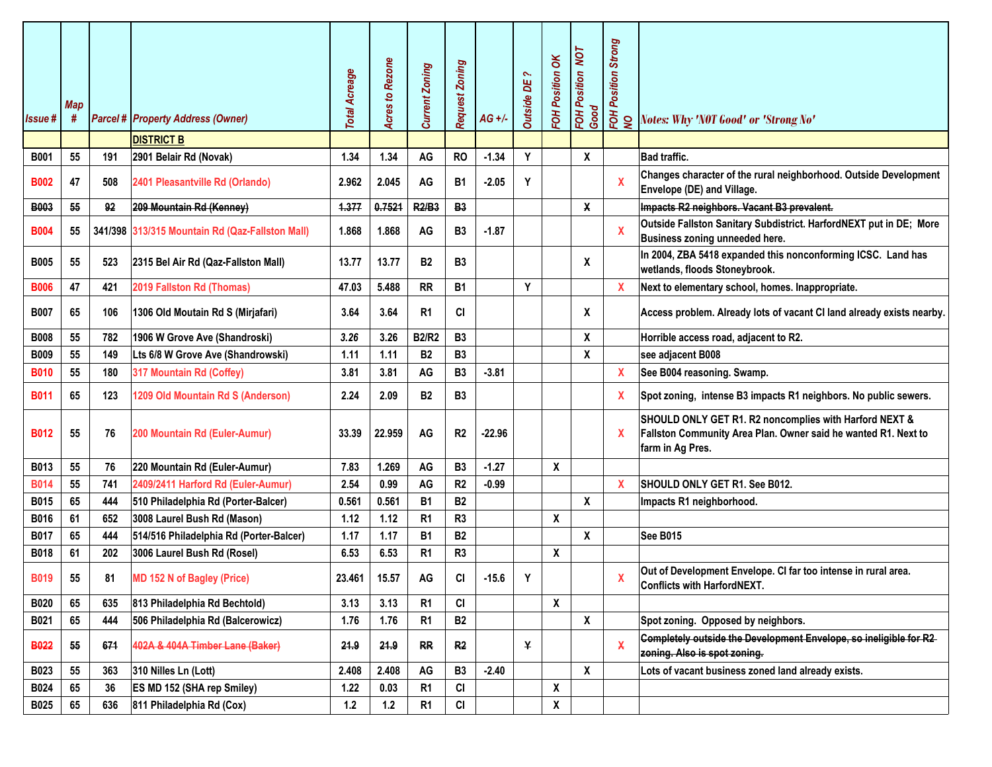| <b>Issue#</b> | <b>Map</b><br># |     | <b>Parcel # Property Address (Owner)</b><br><b>DISTRICT B</b> | <b>Total Acreage</b> | <b>Acres to Rezone</b> | <b>Current Zoning</b> | Request Zoning | $AG +/-$ | $\sim$<br><b>Outside DE</b> | Position OK<br>FOH        | FOH Position NOT<br>Good  | FOH Position Strong<br>NO | Notes: Why 'NOT Good' or 'Strong No'                                                                                                         |
|---------------|-----------------|-----|---------------------------------------------------------------|----------------------|------------------------|-----------------------|----------------|----------|-----------------------------|---------------------------|---------------------------|---------------------------|----------------------------------------------------------------------------------------------------------------------------------------------|
| <b>B001</b>   | 55              | 191 | 2901 Belair Rd (Novak)                                        | 1.34                 | 1.34                   | AG                    | <b>RO</b>      | $-1.34$  | Y                           |                           | X                         |                           | <b>Bad traffic.</b>                                                                                                                          |
| <b>B002</b>   | 47              | 508 | 2401 Pleasantville Rd (Orlando)                               | 2.962                | 2.045                  | AG                    | <b>B1</b>      | $-2.05$  | Υ                           |                           |                           | $\pmb{\mathsf{X}}$        | Changes character of the rural neighborhood. Outside Development<br>Envelope (DE) and Village.                                               |
| <b>B003</b>   | 55              | 92  | 209 Mountain Rd (Kenney)                                      | 4.377                | 0.7521                 | <b>R2/B3</b>          | <b>B3</b>      |          |                             |                           | X                         |                           | Impacts R2 neighbors. Vacant B3 prevalent.                                                                                                   |
| <b>B004</b>   | 55              |     | 341/398 313/315 Mountain Rd (Qaz-Fallston Mall)               | 1.868                | 1.868                  | AG                    | <b>B3</b>      | $-1.87$  |                             |                           |                           | $\mathbf{x}$              | Outside Fallston Sanitary Subdistrict. HarfordNEXT put in DE; More<br>Business zoning unneeded here.                                         |
| <b>B005</b>   | 55              | 523 | 2315 Bel Air Rd (Qaz-Fallston Mall)                           | 13.77                | 13.77                  | <b>B2</b>             | <b>B3</b>      |          |                             |                           | $\boldsymbol{\mathsf{x}}$ |                           | In 2004, ZBA 5418 expanded this nonconforming ICSC. Land has<br>wetlands, floods Stoneybrook.                                                |
| <b>B006</b>   | 47              | 421 | 2019 Fallston Rd (Thomas)                                     | 47.03                | 5.488                  | <b>RR</b>             | <b>B1</b>      |          | Y                           |                           |                           | $\mathbf{x}$              | Next to elementary school, homes. Inappropriate.                                                                                             |
| <b>B007</b>   | 65              | 106 | 1306 Old Moutain Rd S (Mirjafari)                             | 3.64                 | 3.64                   | R <sub>1</sub>        | <b>CI</b>      |          |                             |                           | X                         |                           | Access problem. Already lots of vacant CI land already exists nearby.                                                                        |
| <b>B008</b>   | 55              | 782 | 1906 W Grove Ave (Shandroski)                                 | 3.26                 | 3.26                   | <b>B2/R2</b>          | <b>B3</b>      |          |                             |                           | $\boldsymbol{\mathsf{X}}$ |                           | Horrible access road, adjacent to R2.                                                                                                        |
| <b>B009</b>   | 55              | 149 | Lts 6/8 W Grove Ave (Shandrowski)                             | 1.11                 | 1.11                   | <b>B2</b>             | <b>B3</b>      |          |                             |                           | $\boldsymbol{\mathsf{X}}$ |                           | see adjacent B008                                                                                                                            |
| <b>B010</b>   | 55              | 180 | 317 Mountain Rd (Coffey)                                      | 3.81                 | 3.81                   | AG                    | <b>B3</b>      | $-3.81$  |                             |                           |                           | X                         | See B004 reasoning. Swamp.                                                                                                                   |
| <b>B011</b>   | 65              | 123 | 1209 Old Mountain Rd S (Anderson)                             | 2.24                 | 2.09                   | <b>B2</b>             | <b>B3</b>      |          |                             |                           |                           | X                         | Spot zoning, intense B3 impacts R1 neighbors. No public sewers.                                                                              |
| <b>B012</b>   | 55              | 76  | 200 Mountain Rd (Euler-Aumur)                                 | 33.39                | 22.959                 | AG                    | R <sub>2</sub> | $-22.96$ |                             |                           |                           | X                         | SHOULD ONLY GET R1. R2 noncomplies with Harford NEXT &<br>Fallston Community Area Plan. Owner said he wanted R1. Next to<br>farm in Ag Pres. |
| B013          | 55              | 76  | 220 Mountain Rd (Euler-Aumur)                                 | 7.83                 | 1.269                  | AG                    | <b>B3</b>      | $-1.27$  |                             | X                         |                           |                           |                                                                                                                                              |
| <b>B014</b>   | 55              | 741 | 2409/2411 Harford Rd (Euler-Aumur)                            | 2.54                 | 0.99                   | AG                    | R2             | $-0.99$  |                             |                           |                           | $\mathbf{x}$              | SHOULD ONLY GET R1. See B012.                                                                                                                |
| <b>B015</b>   | 65              | 444 | 510 Philadelphia Rd (Porter-Balcer)                           | 0.561                | 0.561                  | <b>B1</b>             | <b>B2</b>      |          |                             |                           | $\boldsymbol{\mathsf{x}}$ |                           | Impacts R1 neighborhood.                                                                                                                     |
| <b>B016</b>   | 61              | 652 | 3008 Laurel Bush Rd (Mason)                                   | 1.12                 | 1.12                   | R <sub>1</sub>        | R <sub>3</sub> |          |                             | $\pmb{\chi}$              |                           |                           |                                                                                                                                              |
| <b>B017</b>   | 65              | 444 | 514/516 Philadelphia Rd (Porter-Balcer)                       | 1.17                 | 1.17                   | B1                    | <b>B2</b>      |          |                             |                           | X                         |                           | <b>See B015</b>                                                                                                                              |
| <b>B018</b>   | 61              | 202 | 3006 Laurel Bush Rd (Rosel)                                   | 6.53                 | 6.53                   | R <sub>1</sub>        | R <sub>3</sub> |          |                             | X                         |                           |                           |                                                                                                                                              |
| <b>B019</b>   | 55              | 81  | <b>MD 152 N of Bagley (Price)</b>                             | 23.461               | 15.57                  | AG                    | <b>CI</b>      | $-15.6$  | Υ                           |                           |                           | X                         | Out of Development Envelope. CI far too intense in rural area.<br><b>Conflicts with HarfordNEXT.</b>                                         |
| <b>B020</b>   | 65              | 635 | 813 Philadelphia Rd Bechtold)                                 | 3.13                 | 3.13                   | R <sub>1</sub>        | CI             |          |                             | $\boldsymbol{\mathsf{X}}$ |                           |                           |                                                                                                                                              |
| B021          | 65              | 444 | 506 Philadelphia Rd (Balcerowicz)                             | 1.76                 | 1.76                   | R <sub>1</sub>        | <b>B2</b>      |          |                             |                           | X                         |                           | Spot zoning. Opposed by neighbors.                                                                                                           |
| <b>B022</b>   | 55              | 674 | 402A & 404A Timber Lane (Baker)                               | 24.9                 | 24.9                   | <b>RR</b>             | R <sub>2</sub> |          | ¥                           |                           |                           | $\mathbf{x}$              | Completely outside the Development Envelope, so ineligible for R2<br>zoning. Also is spot zoning.                                            |
| <b>B023</b>   | 55              | 363 | 310 Nilles Ln (Lott)                                          | 2.408                | 2.408                  | AG                    | <b>B3</b>      | $-2.40$  |                             |                           | X                         |                           | Lots of vacant business zoned land already exists.                                                                                           |
| <b>B024</b>   | 65              | 36  | ES MD 152 (SHA rep Smiley)                                    | 1.22                 | 0.03                   | R <sub>1</sub>        | CI             |          |                             | X                         |                           |                           |                                                                                                                                              |
| <b>B025</b>   | 65              | 636 | 811 Philadelphia Rd (Cox)                                     | $1.2$                | $1.2$                  | R <sub>1</sub>        | CI             |          |                             | $\pmb{\mathsf{X}}$        |                           |                           |                                                                                                                                              |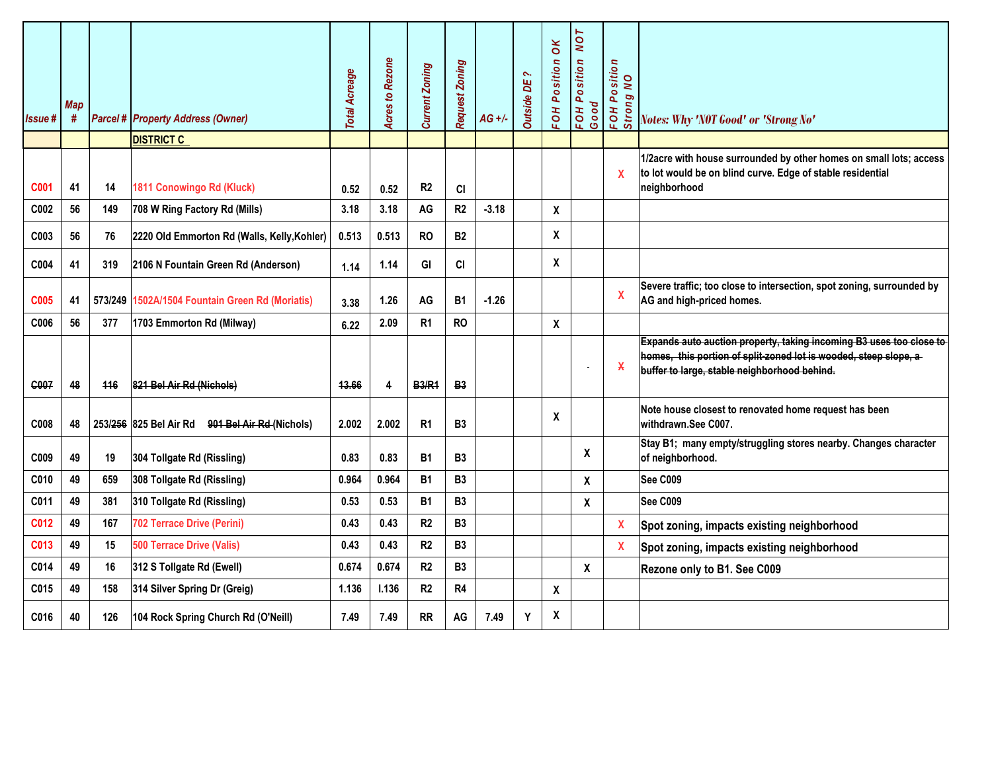| <b>Issue#</b>    | <b>Map</b><br># |     | <b>Parcel # Property Address (Owner)</b>        | <b>Total Acreage</b> | <b>Acres to Rezone</b> | <b>Current Zoning</b> | Request Zoning | $AG +/-$ | $\sim$<br>ЪE<br><b>Outside</b> | FOH Position OK | FOH Position NOT<br>Good | FOH Position<br>Strong NO | <b>Notes: Why 'NOT Good' or 'Strong No'</b>                                                                                                                                             |
|------------------|-----------------|-----|-------------------------------------------------|----------------------|------------------------|-----------------------|----------------|----------|--------------------------------|-----------------|--------------------------|---------------------------|-----------------------------------------------------------------------------------------------------------------------------------------------------------------------------------------|
|                  |                 |     | <b>DISTRICT C</b>                               |                      |                        |                       |                |          |                                |                 |                          |                           |                                                                                                                                                                                         |
| C <sub>001</sub> | 41              | 14  | 1811 Conowingo Rd (Kluck)                       | 0.52                 | 0.52                   | R <sub>2</sub>        | <b>CI</b>      |          |                                |                 |                          | $\mathbf{x}$              | 1/2acre with house surrounded by other homes on small lots; access<br>to lot would be on blind curve. Edge of stable residential<br>neighborhood                                        |
| C <sub>002</sub> | 56              | 149 | 708 W Ring Factory Rd (Mills)                   | 3.18                 | 3.18                   | AG                    | R <sub>2</sub> | $-3.18$  |                                | X               |                          |                           |                                                                                                                                                                                         |
| C003             | 56              | 76  | 2220 Old Emmorton Rd (Walls, Kelly, Kohler)     | 0.513                | 0.513                  | <b>RO</b>             | <b>B2</b>      |          |                                | X               |                          |                           |                                                                                                                                                                                         |
| C004             | 41              | 319 | 2106 N Fountain Green Rd (Anderson)             | 1.14                 | 1.14                   | GI                    | CI             |          |                                | X               |                          |                           |                                                                                                                                                                                         |
| C <sub>005</sub> | 41              |     | 573/249 1502A/1504 Fountain Green Rd (Moriatis) | 3.38                 | 1.26                   | AG                    | <b>B1</b>      | $-1.26$  |                                |                 |                          | X                         | Severe traffic; too close to intersection, spot zoning, surrounded by<br>AG and high-priced homes.                                                                                      |
| C006             | 56              | 377 | 1703 Emmorton Rd (Milway)                       | 6.22                 | 2.09                   | R <sub>1</sub>        | <b>RO</b>      |          |                                | X               |                          |                           |                                                                                                                                                                                         |
| C007             | 48              | 446 | 821 Bel Air Rd (Nichols)                        | 13.66                | 4                      | <b>B3/R1</b>          | <b>B3</b>      |          |                                |                 |                          | $\mathbf x$               | Expands auto auction property, taking incoming B3 uses too close to<br>homes, this portion of split-zoned lot is wooded, steep slope, a<br>buffer to large, stable neighborhood behind. |
| C008             | 48              |     | 253/256 825 Bel Air Rd 901 Bel Air Rd (Nichols) | 2.002                | 2.002                  | R <sub>1</sub>        | B <sub>3</sub> |          |                                | X               |                          |                           | Note house closest to renovated home request has been<br>withdrawn.See C007.                                                                                                            |
| C009             | 49              | 19  | 304 Tollgate Rd (Rissling)                      | 0.83                 | 0.83                   | <b>B1</b>             | B <sub>3</sub> |          |                                |                 | X                        |                           | Stay B1; many empty/struggling stores nearby. Changes character<br>of neighborhood.                                                                                                     |
| C010             | 49              | 659 | 308 Tollgate Rd (Rissling)                      | 0.964                | 0.964                  | <b>B1</b>             | <b>B3</b>      |          |                                |                 | χ                        |                           | <b>See C009</b>                                                                                                                                                                         |
| C011             | 49              | 381 | 310 Tollgate Rd (Rissling)                      | 0.53                 | 0.53                   | <b>B1</b>             | <b>B3</b>      |          |                                |                 | X                        |                           | <b>See C009</b>                                                                                                                                                                         |
| C012             | 49              | 167 | <b>702 Terrace Drive (Perini)</b>               | 0.43                 | 0.43                   | R2                    | <b>B3</b>      |          |                                |                 |                          | $\mathbf{x}$              | Spot zoning, impacts existing neighborhood                                                                                                                                              |
| C013             | 49              | 15  | <b>500 Terrace Drive (Valis)</b>                | 0.43                 | 0.43                   | R2                    | B <sub>3</sub> |          |                                |                 |                          | $\pmb{\mathsf{X}}$        | Spot zoning, impacts existing neighborhood                                                                                                                                              |
| C014             | 49              | 16  | 312 S Tollgate Rd (Ewell)                       | 0.674                | 0.674                  | R <sub>2</sub>        | <b>B3</b>      |          |                                |                 | X                        |                           | Rezone only to B1. See C009                                                                                                                                                             |
| C015             | 49              | 158 | 314 Silver Spring Dr (Greig)                    | 1.136                | 1.136                  | R2                    | R4             |          |                                | X               |                          |                           |                                                                                                                                                                                         |
| C016             | 40              | 126 | 104 Rock Spring Church Rd (O'Neill)             | 7.49                 | 7.49                   | <b>RR</b>             | AG             | 7.49     | Y                              | X               |                          |                           |                                                                                                                                                                                         |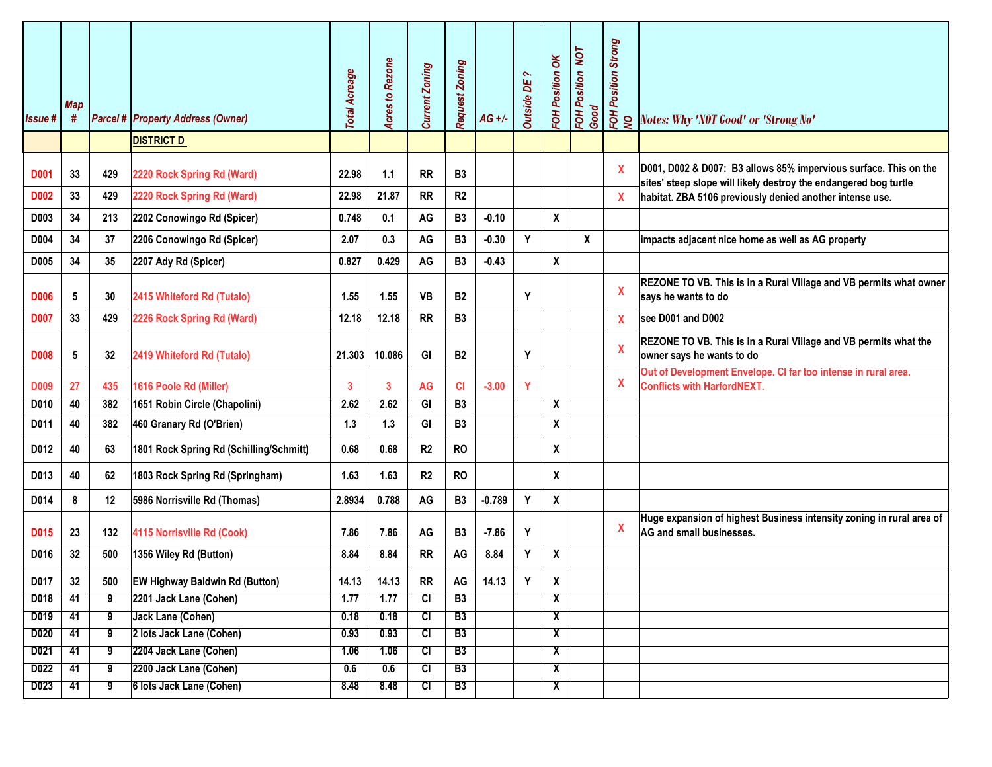| Issue#           | <b>Map</b><br># |                | <b>Parcel # Property Address (Owner)</b><br><b>DISTRICT D</b> | <b>Total Acreage</b> | <b>Acres to Rezone</b> | <b>Current Zoning</b>            | Request Zoning         | $AG +/-$ | $\sim$<br><b>Outside DE</b> | FOH Position OK              | FOH Position NOT<br>Good  | <b>FOH Position Strong</b><br>NO | Notes: Why 'NOT Good' or 'Strong No'                                                                                                 |
|------------------|-----------------|----------------|---------------------------------------------------------------|----------------------|------------------------|----------------------------------|------------------------|----------|-----------------------------|------------------------------|---------------------------|----------------------------------|--------------------------------------------------------------------------------------------------------------------------------------|
|                  |                 |                |                                                               |                      |                        |                                  |                        |          |                             |                              |                           |                                  |                                                                                                                                      |
| <b>D001</b>      | 33              | 429            | 2220 Rock Spring Rd (Ward)                                    | 22.98                | 1.1                    | <b>RR</b>                        | <b>B3</b>              |          |                             |                              |                           | X                                | D001, D002 & D007: B3 allows 85% impervious surface. This on the<br>sites' steep slope will likely destroy the endangered bog turtle |
| <b>D002</b>      | 33              | 429            | 2220 Rock Spring Rd (Ward)                                    | 22.98                | 21.87                  | <b>RR</b>                        | R <sub>2</sub>         |          |                             |                              |                           | $\pmb{\mathsf{X}}$               | habitat. ZBA 5106 previously denied another intense use.                                                                             |
| D003             | 34              | 213            | 2202 Conowingo Rd (Spicer)                                    | 0.748                | 0.1                    | AG                               | B <sub>3</sub>         | $-0.10$  |                             | X                            |                           |                                  |                                                                                                                                      |
| D004             | 34              | 37             | 2206 Conowingo Rd (Spicer)                                    | 2.07                 | 0.3                    | AG                               | <b>B3</b>              | $-0.30$  | Υ                           |                              | $\boldsymbol{\mathsf{x}}$ |                                  | impacts adjacent nice home as well as AG property                                                                                    |
| D005             | 34              | 35             | 2207 Ady Rd (Spicer)                                          | 0.827                | 0.429                  | AG                               | <b>B3</b>              | $-0.43$  |                             | $\boldsymbol{x}$             |                           |                                  |                                                                                                                                      |
| <b>D006</b>      | 5               | 30             | 2415 Whiteford Rd (Tutalo)                                    | 1.55                 | 1.55                   | <b>VB</b>                        | <b>B2</b>              |          | Y                           |                              |                           | X                                | REZONE TO VB. This is in a Rural Village and VB permits what owner<br>says he wants to do                                            |
| <b>D007</b>      | 33              | 429            | 2226 Rock Spring Rd (Ward)                                    | 12.18                | 12.18                  | <b>RR</b>                        | <b>B3</b>              |          |                             |                              |                           | X                                | see D001 and D002                                                                                                                    |
| <b>D008</b>      | 5               | 32             | 2419 Whiteford Rd (Tutalo)                                    | 21.303               | 10.086                 | GI                               | <b>B2</b>              |          | Y                           |                              |                           | $\mathbf x$                      | REZONE TO VB. This is in a Rural Village and VB permits what the<br>owner says he wants to do                                        |
| <b>D009</b>      | 27              | 435            | 1616 Poole Rd (Miller)                                        | 3                    | 3                      | <b>AG</b>                        | <b>CI</b>              | $-3.00$  | Y                           |                              |                           | X                                | Out of Development Envelope. CI far too intense in rural area.<br><b>Conflicts with HarfordNEXT.</b>                                 |
| D010             | 40              | 382            | 1651 Robin Circle (Chapolini)                                 | 2.62                 | 2.62                   | GI                               | B3                     |          |                             | X                            |                           |                                  |                                                                                                                                      |
| D011             | 40              | 382            | 460 Granary Rd (O'Brien)                                      | 1.3                  | 1.3                    | GI                               | <b>B3</b>              |          |                             | χ                            |                           |                                  |                                                                                                                                      |
| D012             | 40              | 63             | 1801 Rock Spring Rd (Schilling/Schmitt)                       | 0.68                 | 0.68                   | R2                               | <b>RO</b>              |          |                             | X                            |                           |                                  |                                                                                                                                      |
| D013             | 40              | 62             | 1803 Rock Spring Rd (Springham)                               | 1.63                 | 1.63                   | R <sub>2</sub>                   | <b>RO</b>              |          |                             | Χ                            |                           |                                  |                                                                                                                                      |
| D014             | 8               | 12             | 5986 Norrisville Rd (Thomas)                                  | 2.8934               | 0.788                  | AG                               | <b>B3</b>              | $-0.789$ | Y                           | χ                            |                           |                                  |                                                                                                                                      |
| D015             | 23              | 132            | 4115 Norrisville Rd (Cook)                                    | 7.86                 | 7.86                   | AG                               | <b>B3</b>              | $-7.86$  | Y                           |                              |                           | $\pmb{\mathsf{X}}$               | Huge expansion of highest Business intensity zoning in rural area of<br>AG and small businesses.                                     |
| D016             | 32              | 500            | 1356 Wiley Rd (Button)                                        | 8.84                 | 8.84                   | <b>RR</b>                        | AG                     | 8.84     | Y                           | X                            |                           |                                  |                                                                                                                                      |
| D017             | 32              | 500            | <b>EW Highway Baldwin Rd (Button)</b>                         | 14.13                | 14.13                  | <b>RR</b>                        | AG                     | 14.13    | Υ                           | X                            |                           |                                  |                                                                                                                                      |
| D018             | 41              | 9              | 2201 Jack Lane (Cohen)                                        | 1.77                 | 1.77                   | $\overline{c}$                   | B3                     |          |                             | χ                            |                           |                                  |                                                                                                                                      |
| D019             | 41              | 9              | Jack Lane (Cohen)                                             | 0.18                 | 0.18                   | $\overline{c}$                   | B3                     |          |                             | $\overline{\mathbf{X}}$      |                           |                                  |                                                                                                                                      |
| D <sub>020</sub> | 41              | 9              | 2 lots Jack Lane (Cohen)                                      | 0.93                 | 0.93                   | $\overline{c}$                   | <b>B3</b>              |          |                             | X                            |                           |                                  |                                                                                                                                      |
| D021             | 41              | $\overline{9}$ | 2204 Jack Lane (Cohen)                                        | 1.06                 | 1.06                   | $\overline{c}$                   | <b>B3</b>              |          |                             | $\mathbf{x}$                 |                           |                                  |                                                                                                                                      |
| D022<br>D023     | 41<br>41        | 9<br>9         | 2200 Jack Lane (Cohen)<br>6 lots Jack Lane (Cohen)            | 0.6<br>8.48          | 0.6<br>8.48            | $\overline{c}$<br>$\overline{c}$ | <b>B3</b><br><b>B3</b> |          |                             | X<br>$\overline{\mathbf{X}}$ |                           |                                  |                                                                                                                                      |
|                  |                 |                |                                                               |                      |                        |                                  |                        |          |                             |                              |                           |                                  |                                                                                                                                      |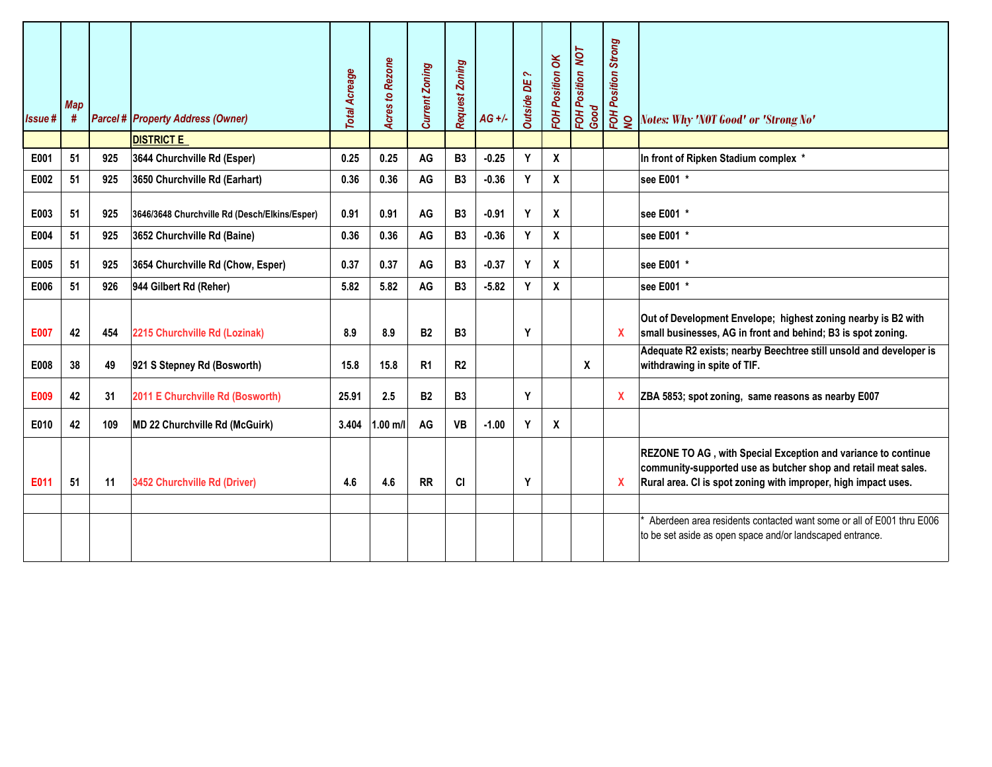| <b>Issue#</b> | <b>Map</b><br># |     | <b>Parcel # Property Address (Owner)</b>      | <b>Total Acreage</b> | <b>Acres to Rezone</b> | <b>Current Zoning</b> | <b>Request Zoning</b> | $AG +/-$ | $\sim$<br><b>Outside DE</b> | FOH Position OK           | <b>FOH Position NOT</b><br>Good | <b>FOH Position Strong</b><br>NO | Notes: Why 'NOT Good' or 'Strong No'                                                                                                                                                              |
|---------------|-----------------|-----|-----------------------------------------------|----------------------|------------------------|-----------------------|-----------------------|----------|-----------------------------|---------------------------|---------------------------------|----------------------------------|---------------------------------------------------------------------------------------------------------------------------------------------------------------------------------------------------|
|               |                 |     | <b>DISTRICT E</b>                             |                      |                        |                       |                       |          |                             |                           |                                 |                                  |                                                                                                                                                                                                   |
| E001          | 51              | 925 | 3644 Churchville Rd (Esper)                   | 0.25                 | 0.25                   | AG                    | <b>B3</b>             | $-0.25$  | Y                           | $\mathbf x$               |                                 |                                  | In front of Ripken Stadium complex *                                                                                                                                                              |
| E002          | 51              | 925 | 3650 Churchville Rd (Earhart)                 | 0.36                 | 0.36                   | AG                    | B <sub>3</sub>        | $-0.36$  | Y                           | X                         |                                 |                                  | see E001 *                                                                                                                                                                                        |
| E003          | 51              | 925 | 3646/3648 Churchville Rd (Desch/Elkins/Esper) | 0.91                 | 0.91                   | AG                    | B <sub>3</sub>        | $-0.91$  | Y                           | X                         |                                 |                                  | see E001 *                                                                                                                                                                                        |
| E004          | 51              | 925 | 3652 Churchville Rd (Baine)                   | 0.36                 | 0.36                   | AG                    | B <sub>3</sub>        | $-0.36$  | Y                           | X                         |                                 |                                  | see E001 *                                                                                                                                                                                        |
| E005          | 51              | 925 | 3654 Churchville Rd (Chow, Esper)             | 0.37                 | 0.37                   | AG                    | <b>B3</b>             | $-0.37$  | Y                           | $\mathbf x$               |                                 |                                  | see E001 *                                                                                                                                                                                        |
| E006          | 51              | 926 | 944 Gilbert Rd (Reher)                        | 5.82                 | 5.82                   | AG                    | <b>B3</b>             | $-5.82$  | Y                           | $\mathsf{x}$              |                                 |                                  | see E001 *                                                                                                                                                                                        |
| <b>E007</b>   | 42              | 454 | 2215 Churchville Rd (Lozinak)                 | 8.9                  | 8.9                    | <b>B2</b>             | <b>B3</b>             |          | Y                           |                           |                                 | X                                | Out of Development Envelope; highest zoning nearby is B2 with<br>small businesses, AG in front and behind; B3 is spot zoning.                                                                     |
| E008          | 38              | 49  | 921 S Stepney Rd (Bosworth)                   | 15.8                 | 15.8                   | R <sub>1</sub>        | R <sub>2</sub>        |          |                             |                           | X                               |                                  | Adequate R2 exists; nearby Beechtree still unsold and developer is<br>withdrawing in spite of TIF.                                                                                                |
| E009          | 42              | 31  | 2011 E Churchville Rd (Bosworth)              | 25.91                | 2.5                    | <b>B2</b>             | <b>B3</b>             |          | Y                           |                           |                                 | X                                | ZBA 5853; spot zoning, same reasons as nearby E007                                                                                                                                                |
| E010          | 42              | 109 | MD 22 Churchville Rd (McGuirk)                | 3.404                | $1.00$ m/l             | AG                    | VB                    | $-1.00$  | Y                           | $\boldsymbol{\mathsf{X}}$ |                                 |                                  |                                                                                                                                                                                                   |
| E011          | 51              | 11  | 3452 Churchville Rd (Driver)                  | 4.6                  | 4.6                    | <b>RR</b>             | <b>CI</b>             |          | Y                           |                           |                                 | X                                | REZONE TO AG, with Special Exception and variance to continue<br>community-supported use as butcher shop and retail meat sales.<br>Rural area. CI is spot zoning with improper, high impact uses. |
|               |                 |     |                                               |                      |                        |                       |                       |          |                             |                           |                                 |                                  | Aberdeen area residents contacted want some or all of E001 thru E006<br>to be set aside as open space and/or landscaped entrance.                                                                 |